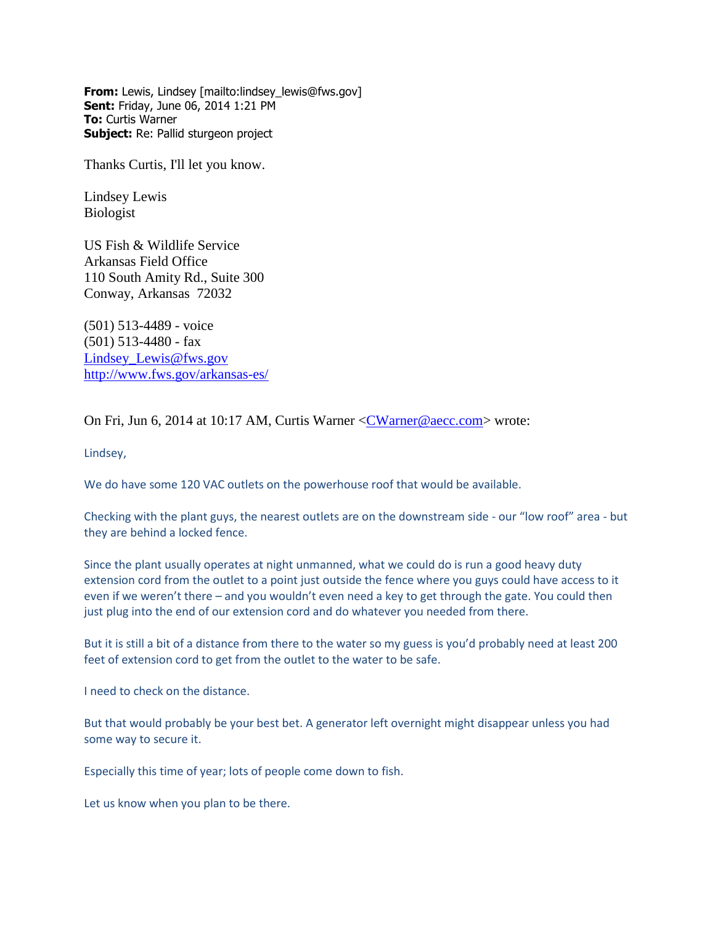**From:** Lewis, Lindsey [mailto:lindsey\_lewis@fws.gov] **Sent:** Friday, June 06, 2014 1:21 PM **To:** Curtis Warner **Subject:** Re: Pallid sturgeon project

Thanks Curtis, I'll let you know.

Lindsey Lewis Biologist

US Fish & Wildlife Service Arkansas Field Office 110 South Amity Rd., Suite 300 Conway, Arkansas 72032

(501) 513-4489 - voice (501) 513-4480 - fax [Lindsey\\_Lewis@fws.gov](mailto:Lindsey_Lewis@fws.gov) <http://www.fws.gov/arkansas-es/>

On Fri, Jun 6, 2014 at 10:17 AM, Curtis Warner [<CWarner@aecc.com>](mailto:CWarner@aecc.com) wrote:

Lindsey,

We do have some 120 VAC outlets on the powerhouse roof that would be available.

Checking with the plant guys, the nearest outlets are on the downstream side - our "low roof" area - but they are behind a locked fence.

Since the plant usually operates at night unmanned, what we could do is run a good heavy duty extension cord from the outlet to a point just outside the fence where you guys could have access to it even if we weren't there – and you wouldn't even need a key to get through the gate. You could then just plug into the end of our extension cord and do whatever you needed from there.

But it is still a bit of a distance from there to the water so my guess is you'd probably need at least 200 feet of extension cord to get from the outlet to the water to be safe.

I need to check on the distance.

But that would probably be your best bet. A generator left overnight might disappear unless you had some way to secure it.

Especially this time of year; lots of people come down to fish.

Let us know when you plan to be there.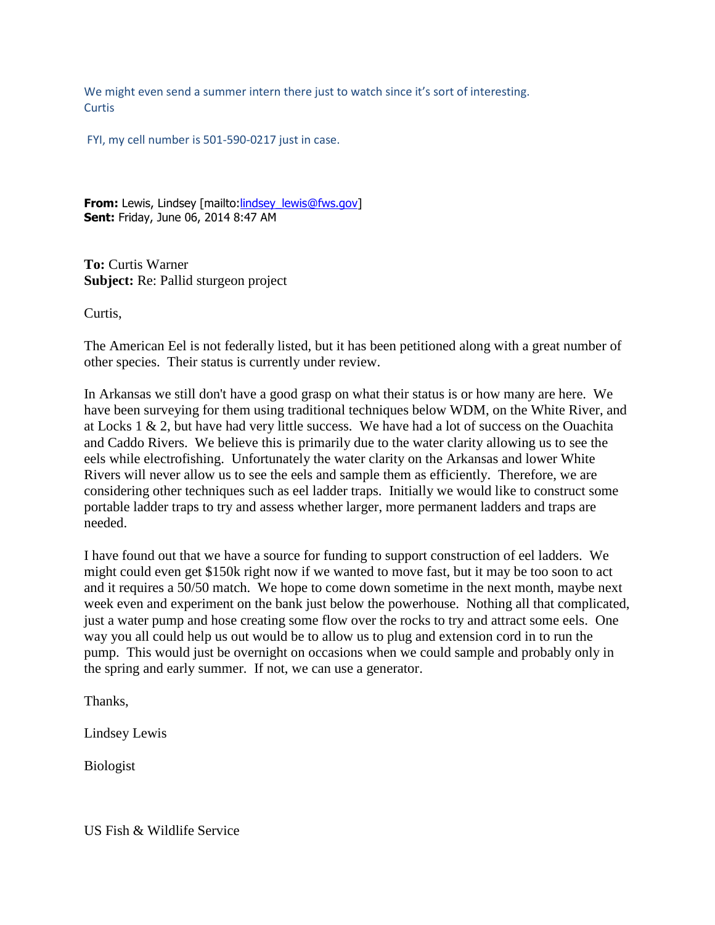We might even send a summer intern there just to watch since it's sort of interesting. **Curtis** 

FYI, my cell number is 501-590-0217 just in case.

**From:** Lewis, Lindsey [mailto[:lindsey\\_lewis@fws.gov\]](mailto:lindsey_lewis@fws.gov) **Sent:** Friday, June 06, 2014 8:47 AM

**To:** Curtis Warner **Subject:** Re: Pallid sturgeon project

Curtis,

The American Eel is not federally listed, but it has been petitioned along with a great number of other species. Their status is currently under review.

In Arkansas we still don't have a good grasp on what their status is or how many are here. We have been surveying for them using traditional techniques below WDM, on the White River, and at Locks 1 & 2, but have had very little success. We have had a lot of success on the Ouachita and Caddo Rivers. We believe this is primarily due to the water clarity allowing us to see the eels while electrofishing. Unfortunately the water clarity on the Arkansas and lower White Rivers will never allow us to see the eels and sample them as efficiently. Therefore, we are considering other techniques such as eel ladder traps. Initially we would like to construct some portable ladder traps to try and assess whether larger, more permanent ladders and traps are needed.

I have found out that we have a source for funding to support construction of eel ladders. We might could even get \$150k right now if we wanted to move fast, but it may be too soon to act and it requires a 50/50 match. We hope to come down sometime in the next month, maybe next week even and experiment on the bank just below the powerhouse. Nothing all that complicated, just a water pump and hose creating some flow over the rocks to try and attract some eels. One way you all could help us out would be to allow us to plug and extension cord in to run the pump. This would just be overnight on occasions when we could sample and probably only in the spring and early summer. If not, we can use a generator.

Thanks,

Lindsey Lewis

Biologist

US Fish & Wildlife Service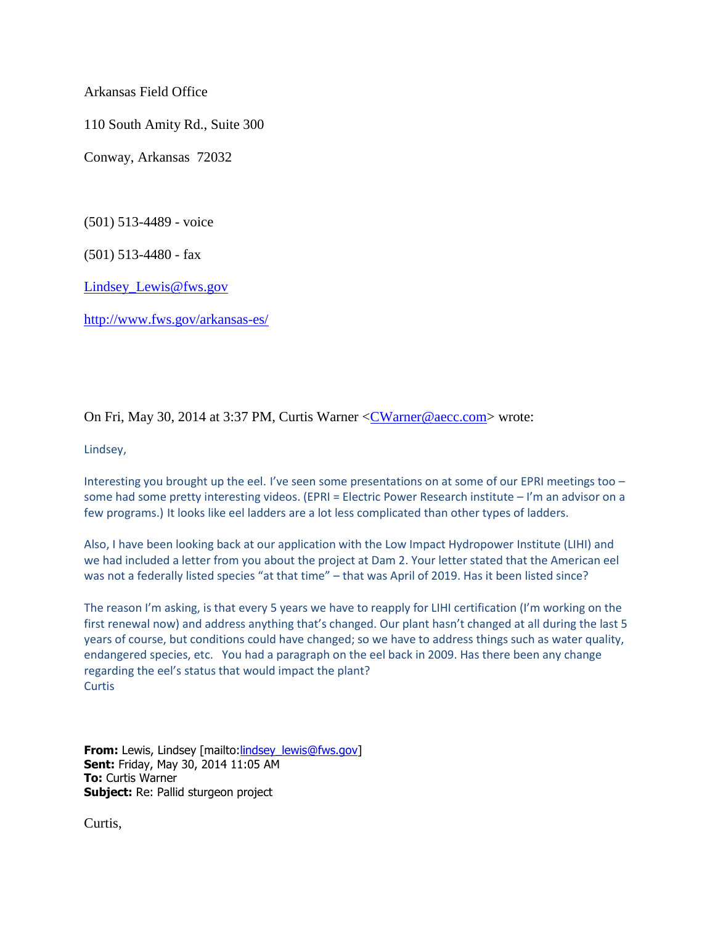Arkansas Field Office

110 South Amity Rd., Suite 300

Conway, Arkansas 72032

(501) 513-4489 - voice

(501) 513-4480 - fax

[Lindsey\\_Lewis@fws.gov](mailto:Lindsey_Lewis@fws.gov)

<http://www.fws.gov/arkansas-es/>

On Fri, May 30, 2014 at 3:37 PM, Curtis Warner [<CWarner@aecc.com>](mailto:CWarner@aecc.com) wrote:

Lindsey,

Interesting you brought up the eel. I've seen some presentations on at some of our EPRI meetings too – some had some pretty interesting videos. (EPRI = Electric Power Research institute – I'm an advisor on a few programs.) It looks like eel ladders are a lot less complicated than other types of ladders.

Also, I have been looking back at our application with the Low Impact Hydropower Institute (LIHI) and we had included a letter from you about the project at Dam 2. Your letter stated that the American eel was not a federally listed species "at that time" – that was April of 2019. Has it been listed since?

The reason I'm asking, is that every 5 years we have to reapply for LIHI certification (I'm working on the first renewal now) and address anything that's changed. Our plant hasn't changed at all during the last 5 years of course, but conditions could have changed; so we have to address things such as water quality, endangered species, etc. You had a paragraph on the eel back in 2009. Has there been any change regarding the eel's status that would impact the plant? **Curtis** 

**From:** Lewis, Lindsey [mailto:*lindsey\_lewis@fws.gov]* **Sent:** Friday, May 30, 2014 11:05 AM **To:** Curtis Warner **Subject:** Re: Pallid sturgeon project

Curtis,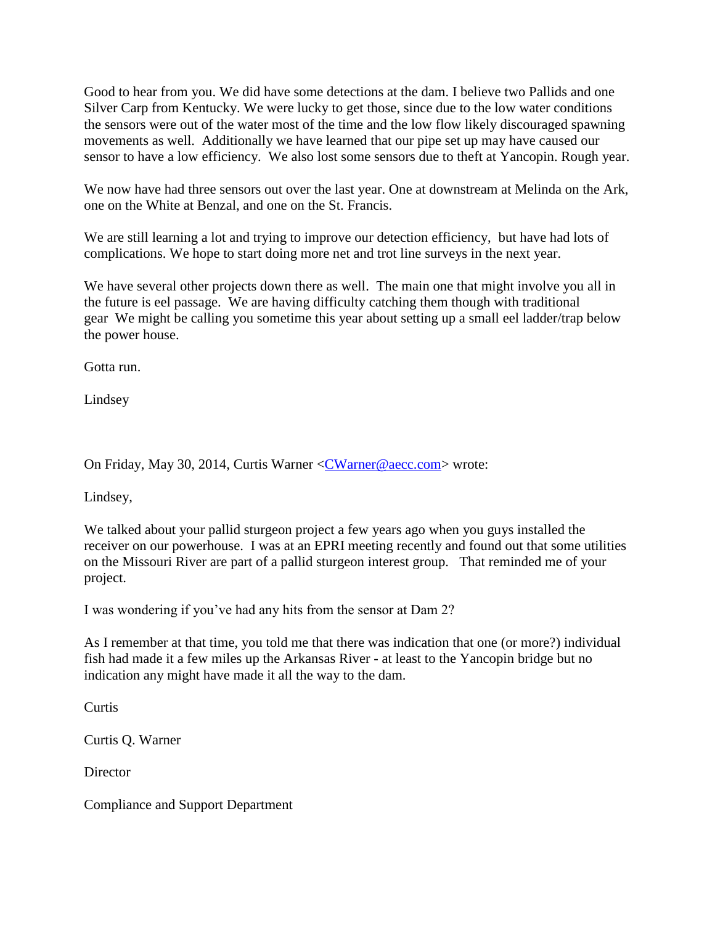Good to hear from you. We did have some detections at the dam. I believe two Pallids and one Silver Carp from Kentucky. We were lucky to get those, since due to the low water conditions the sensors were out of the water most of the time and the low flow likely discouraged spawning movements as well. Additionally we have learned that our pipe set up may have caused our sensor to have a low efficiency. We also lost some sensors due to theft at Yancopin. Rough year.

We now have had three sensors out over the last year. One at downstream at Melinda on the Ark, one on the White at Benzal, and one on the St. Francis.

We are still learning a lot and trying to improve our detection efficiency, but have had lots of complications. We hope to start doing more net and trot line surveys in the next year.

We have several other projects down there as well. The main one that might involve you all in the future is eel passage. We are having difficulty catching them though with traditional gear We might be calling you sometime this year about setting up a small eel ladder/trap below the power house.

Gotta run.

Lindsey

On Friday, May 30, 2014, Curtis Warner [<CWarner@aecc.com>](mailto:CWarner@aecc.com) wrote:

Lindsey,

We talked about your pallid sturgeon project a few years ago when you guys installed the receiver on our powerhouse. I was at an EPRI meeting recently and found out that some utilities on the Missouri River are part of a pallid sturgeon interest group. That reminded me of your project.

I was wondering if you've had any hits from the sensor at Dam 2?

As I remember at that time, you told me that there was indication that one (or more?) individual fish had made it a few miles up the Arkansas River - at least to the Yancopin bridge but no indication any might have made it all the way to the dam.

**Curtis** 

Curtis Q. Warner

**Director** 

Compliance and Support Department